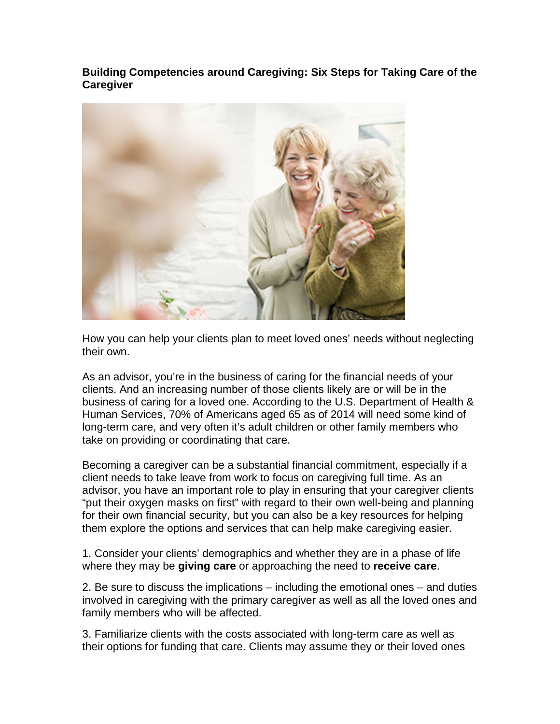**Building Competencies around Caregiving: Six Steps for Taking Care of the Caregiver**



How you can help your clients plan to meet loved ones' needs without neglecting their own.

As an advisor, you're in the business of caring for the financial needs of your clients. And an increasing number of those clients likely are or will be in the business of caring for a loved one. According to the U.S. Department of Health & Human Services, 70% of Americans aged 65 as of 2014 will need some kind of long-term care, and very often it's adult children or other family members who take on providing or coordinating that care.

Becoming a caregiver can be a substantial financial commitment, especially if a client needs to take leave from work to focus on caregiving full time. As an advisor, you have an important role to play in ensuring that your caregiver clients "put their oxygen masks on first" with regard to their own well-being and planning for their own financial security, but you can also be a key resources for helping them explore the options and services that can help make caregiving easier.

1. Consider your clients' demographics and whether they are in a phase of life where they may be **giving care** or approaching the need to **receive care**.

2. Be sure to discuss the implications – including the emotional ones – and duties involved in caregiving with the primary caregiver as well as all the loved ones and family members who will be affected.

3. Familiarize clients with the costs associated with long-term care as well as their options for funding that care. Clients may assume they or their loved ones